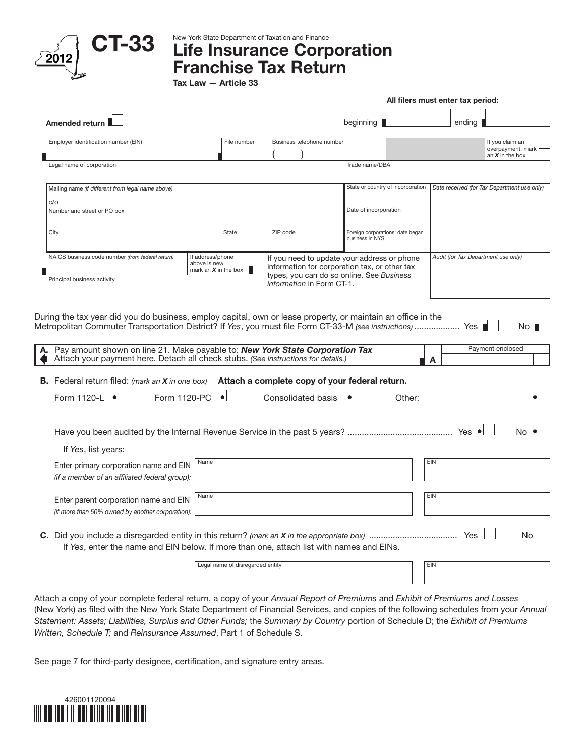

New York State Department of Taxation and Finance

## Life Insurance Corporation Franchise Tax Return

Tax Law — Article 33

|                                                                                                                                                                                                                                                                                      |                                                             |                                  |                                                                                                                                           |                                                     |                                   | All filers must enter tax period:   |                                                           |  |  |
|--------------------------------------------------------------------------------------------------------------------------------------------------------------------------------------------------------------------------------------------------------------------------------------|-------------------------------------------------------------|----------------------------------|-------------------------------------------------------------------------------------------------------------------------------------------|-----------------------------------------------------|-----------------------------------|-------------------------------------|-----------------------------------------------------------|--|--|
| <b>Amended return</b>                                                                                                                                                                                                                                                                |                                                             |                                  |                                                                                                                                           | beginning $\blacksquare$                            |                                   | ending                              |                                                           |  |  |
| Employer identification number (EIN)                                                                                                                                                                                                                                                 |                                                             | File number                      | Business telephone number                                                                                                                 |                                                     |                                   |                                     | If you claim an<br>overpayment, mark<br>an $X$ in the box |  |  |
| Legal name of corporation                                                                                                                                                                                                                                                            |                                                             |                                  |                                                                                                                                           | Trade name/DBA                                      |                                   |                                     |                                                           |  |  |
| Mailing name (if different from legal name above)                                                                                                                                                                                                                                    |                                                             |                                  |                                                                                                                                           |                                                     | State or country of incorporation |                                     | Date received (for Tax Department use only)               |  |  |
| c/o<br>Number and street or PO box                                                                                                                                                                                                                                                   |                                                             |                                  |                                                                                                                                           | Date of incorporation                               |                                   |                                     |                                                           |  |  |
| City                                                                                                                                                                                                                                                                                 |                                                             | State                            | ZIP code                                                                                                                                  | Foreign corporations: date began<br>business in NYS |                                   |                                     |                                                           |  |  |
| NAICS business code number (from federal return)                                                                                                                                                                                                                                     | If address/phone<br>above is new,<br>mark an $X$ in the box |                                  | If you need to update your address or phone<br>information for corporation tax, or other tax<br>types, you can do so online. See Business |                                                     |                                   | Audit (for Tax Department use only) |                                                           |  |  |
| Principal business activity                                                                                                                                                                                                                                                          |                                                             |                                  | information in Form CT-1.                                                                                                                 |                                                     |                                   |                                     |                                                           |  |  |
| A. Pay amount shown on line 21. Make payable to: New York State Corporation Tax<br>Attach your payment here. Detach all check stubs. (See instructions for details.)<br><b>B.</b> Federal return filed: <i>(mark an X in one box)</i> Attach a complete copy of your federal return. |                                                             |                                  |                                                                                                                                           |                                                     |                                   | A                                   | Payment enclosed                                          |  |  |
| Form 1120-L $\bullet$                                                                                                                                                                                                                                                                | <b>Form 1120-PC</b>                                         |                                  | Consolidated basis                                                                                                                        |                                                     | Other:                            |                                     |                                                           |  |  |
|                                                                                                                                                                                                                                                                                      |                                                             |                                  |                                                                                                                                           |                                                     |                                   |                                     |                                                           |  |  |
| If Yes, list years: $\equiv$                                                                                                                                                                                                                                                         |                                                             |                                  |                                                                                                                                           |                                                     |                                   |                                     |                                                           |  |  |
| Enter primary corporation name and EIN<br>(if a member of an affiliated federal group):                                                                                                                                                                                              | Name                                                        |                                  |                                                                                                                                           |                                                     |                                   | <b>EIN</b>                          |                                                           |  |  |
| Enter parent corporation name and EIN<br>(if more than 50% owned by another corporation):                                                                                                                                                                                            | Name                                                        |                                  |                                                                                                                                           |                                                     |                                   | EIN                                 |                                                           |  |  |
| If Yes, enter the name and EIN below. If more than one, attach list with names and EINs.                                                                                                                                                                                             |                                                             |                                  |                                                                                                                                           |                                                     |                                   |                                     | No.                                                       |  |  |
|                                                                                                                                                                                                                                                                                      |                                                             | Legal name of disregarded entity |                                                                                                                                           |                                                     |                                   | EIN                                 |                                                           |  |  |
|                                                                                                                                                                                                                                                                                      |                                                             |                                  |                                                                                                                                           |                                                     |                                   |                                     |                                                           |  |  |

Attach a copy of your complete federal return, a copy of your *Annual Report of Premiums* and *Exhibit of Premiums and Losses*  (New York) as filed with the New York State Department of Financial Services, and copies of the following schedules from your *Annual Statement: Assets; Liabilities, Surplus and Other Funds;* the *Summary by Country* portion of Schedule D; the *Exhibit of Premiums Written, Schedule T;* and *Reinsurance Assumed*, Part 1 of Schedule S.

See page 7 for third-party designee, certification, and signature entry areas.

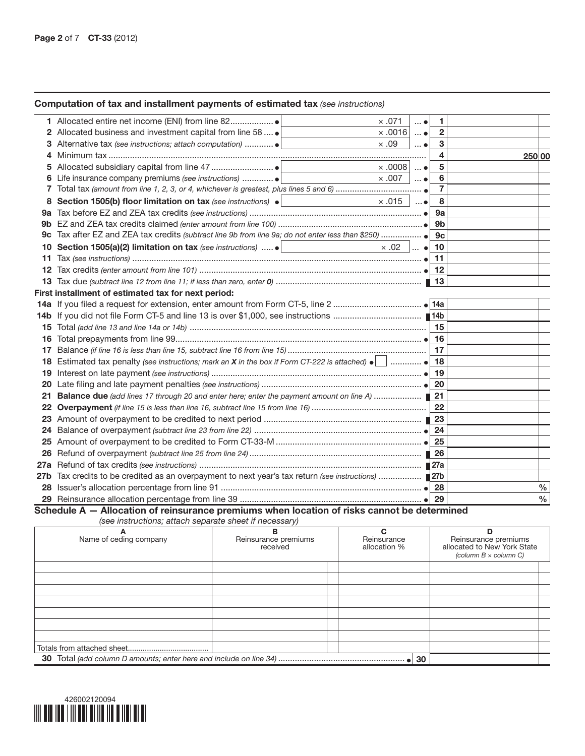## Computation of tax and installment payments of estimated tax *(see instructions)*

|       | $\times .071$                                                                                              | $\ldots$ $\bullet$ | 1              |        |      |
|-------|------------------------------------------------------------------------------------------------------------|--------------------|----------------|--------|------|
|       | Allocated business and investment capital from line 58  .<br>$\times$ .0016                                | $\ldots$ $\bullet$ | 2              |        |      |
|       | $\times .09$<br>3 Alternative tax (see instructions; attach computation)                                   | $\ldots$ $\bullet$ | 3              |        |      |
| 4     |                                                                                                            |                    | 4              | 250 00 |      |
|       | $\times$ .0008                                                                                             | $\ldots$ $\bullet$ | 5              |        |      |
| 6     | $\times$ .007                                                                                              | $\ldots$ $\bullet$ | 6              |        |      |
| 7     |                                                                                                            |                    | $\overline{7}$ |        |      |
| 8     | Section 1505(b) floor limitation on tax (see instructions) $\bullet$<br>$\times$ .015                      | $\ldots$ $\bullet$ | 8              |        |      |
| 9а    |                                                                                                            |                    | 9а             |        |      |
| 9b.   |                                                                                                            |                    | 9b             |        |      |
| 9с    |                                                                                                            |                    | 9 <sub>c</sub> |        |      |
| 10    | Section 1505(a)(2) limitation on tax (see instructions)  .  <br>$\times .02$                               | $\ldots$ $\bullet$ | 10             |        |      |
| 11    |                                                                                                            |                    | 11             |        |      |
| 12    |                                                                                                            |                    | 12             |        |      |
| 13    |                                                                                                            |                    |                |        |      |
|       | First installment of estimated tax for next period:                                                        |                    |                |        |      |
|       |                                                                                                            |                    |                |        |      |
|       |                                                                                                            |                    |                |        |      |
| 15.   |                                                                                                            |                    | 15             |        |      |
| 16    |                                                                                                            |                    | 16             |        |      |
| 17    |                                                                                                            |                    | 17             |        |      |
| 18    | Estimated tax penalty (see instructions; mark an X in the box if Form CT-222 is attached) $\bullet$ $\Box$ |                    | 18             |        |      |
| 19    |                                                                                                            |                    | 19             |        |      |
| 20    |                                                                                                            |                    | 20             |        |      |
| 21    | Balance due (add lines 17 through 20 and enter here; enter the payment amount on line A)                   |                    | 21             |        |      |
| 22    |                                                                                                            |                    | 22             |        |      |
| 23    |                                                                                                            |                    | 23             |        |      |
| 24    |                                                                                                            |                    | 24             |        |      |
| 25    |                                                                                                            |                    | 25             |        |      |
| 26    |                                                                                                            |                    |                |        |      |
| 27a   |                                                                                                            |                    |                |        |      |
| 27b . |                                                                                                            |                    |                |        |      |
| 28    |                                                                                                            |                    | 28             |        | %    |
|       |                                                                                                            |                    | 29             |        | $\%$ |

Schedule A — Allocation of reinsurance premiums when location of risks cannot be determined *(see instructions; attach separate sheet if necessary)*

| A<br>Name of ceding company | в<br>Reinsurance premiums<br>received | Reinsurance<br>allocation % | Reinsurance premiums<br>allocated to New York State<br>(column $B \times$ column C) |
|-----------------------------|---------------------------------------|-----------------------------|-------------------------------------------------------------------------------------|
|                             |                                       |                             |                                                                                     |
|                             |                                       |                             |                                                                                     |
|                             |                                       |                             |                                                                                     |
|                             |                                       |                             |                                                                                     |
|                             |                                       |                             |                                                                                     |
|                             |                                       |                             |                                                                                     |
|                             |                                       |                             |                                                                                     |
|                             |                                       |                             |                                                                                     |
|                             |                                       |                             |                                                                                     |

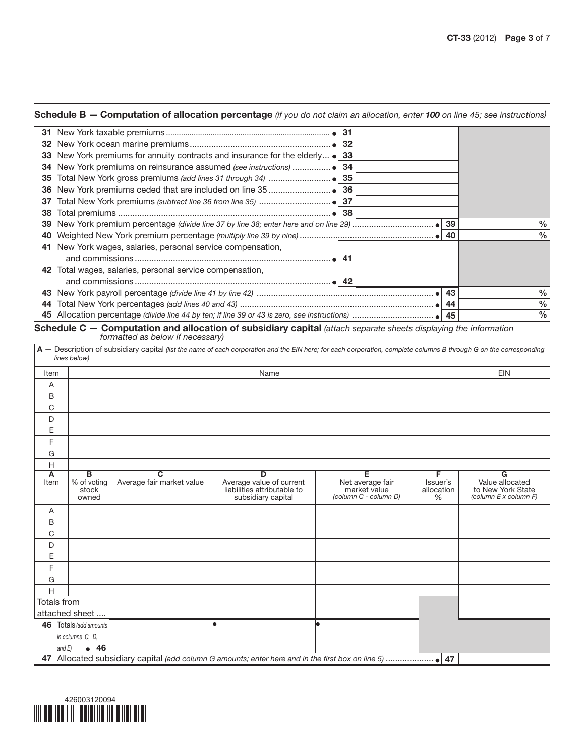## Schedule B — Computation of allocation percentage *(if you do not claim an allocation, enter 100 on line 45; see instructions)*

|    | 31                                                                                       |    |               |
|----|------------------------------------------------------------------------------------------|----|---------------|
|    | 32                                                                                       |    |               |
|    | 33 New York premiums for annuity contracts and insurance for the elderly $\bullet$<br>33 |    |               |
|    | 34                                                                                       |    |               |
| 35 | 35                                                                                       |    |               |
|    | 36                                                                                       |    |               |
| 37 | 37                                                                                       |    |               |
| 38 |                                                                                          |    |               |
| 39 |                                                                                          | 39 | $\frac{0}{0}$ |
|    |                                                                                          |    | $\frac{0}{0}$ |
| 41 | New York wages, salaries, personal service compensation,                                 |    |               |
|    | -41                                                                                      |    |               |
|    | 42 Total wages, salaries, personal service compensation,                                 |    |               |
|    |                                                                                          |    |               |
| 43 |                                                                                          | 43 | $\frac{0}{0}$ |
| 44 |                                                                                          | 44 | $\frac{0}{0}$ |
|    |                                                                                          |    | $\%$          |

Schedule C – Computation and allocation of subsidiary capital *(attach separate sheets displaying the information formatted as below if necessary)* 

|             | lines below)                       | A - Description of subsidiary capital (list the name of each corporation and the EIN here; for each corporation, complete columns B through G on the corresponding |                                                                                    |                                                                |                                  |                                                                    |
|-------------|------------------------------------|--------------------------------------------------------------------------------------------------------------------------------------------------------------------|------------------------------------------------------------------------------------|----------------------------------------------------------------|----------------------------------|--------------------------------------------------------------------|
| Item        |                                    |                                                                                                                                                                    | Name                                                                               |                                                                |                                  | <b>EIN</b>                                                         |
| Α           |                                    |                                                                                                                                                                    |                                                                                    |                                                                |                                  |                                                                    |
| B           |                                    |                                                                                                                                                                    |                                                                                    |                                                                |                                  |                                                                    |
| $\mathbf C$ |                                    |                                                                                                                                                                    |                                                                                    |                                                                |                                  |                                                                    |
| D           |                                    |                                                                                                                                                                    |                                                                                    |                                                                |                                  |                                                                    |
| E           |                                    |                                                                                                                                                                    |                                                                                    |                                                                |                                  |                                                                    |
| F           |                                    |                                                                                                                                                                    |                                                                                    |                                                                |                                  |                                                                    |
| G           |                                    |                                                                                                                                                                    |                                                                                    |                                                                |                                  |                                                                    |
| H           |                                    |                                                                                                                                                                    |                                                                                    |                                                                |                                  |                                                                    |
| A<br>Item   | в<br>% of voting<br>stock<br>owned | $\overline{\mathbf{c}}$<br>Average fair market value                                                                                                               | D<br>Average value of current<br>liabilities attributable to<br>subsidiary capital | Е<br>Net average fair<br>market value<br>(column C - column D) | F<br>Issuer's<br>allocation<br>% | G<br>Value allocated<br>to New York State<br>(column E x column F) |
| Α           |                                    |                                                                                                                                                                    |                                                                                    |                                                                |                                  |                                                                    |
| B           |                                    |                                                                                                                                                                    |                                                                                    |                                                                |                                  |                                                                    |
| C           |                                    |                                                                                                                                                                    |                                                                                    |                                                                |                                  |                                                                    |
| D           |                                    |                                                                                                                                                                    |                                                                                    |                                                                |                                  |                                                                    |
| E           |                                    |                                                                                                                                                                    |                                                                                    |                                                                |                                  |                                                                    |
| F           |                                    |                                                                                                                                                                    |                                                                                    |                                                                |                                  |                                                                    |
| G           |                                    |                                                                                                                                                                    |                                                                                    |                                                                |                                  |                                                                    |
| H           |                                    |                                                                                                                                                                    |                                                                                    |                                                                |                                  |                                                                    |
| Totals from | attached sheet                     |                                                                                                                                                                    |                                                                                    |                                                                |                                  |                                                                    |
|             | 46 Totals (add amounts             |                                                                                                                                                                    |                                                                                    |                                                                |                                  |                                                                    |
|             | in columns C, D,                   |                                                                                                                                                                    |                                                                                    |                                                                |                                  |                                                                    |
| and $E$ )   | 46<br>$\bullet$ $\vdash$           |                                                                                                                                                                    |                                                                                    |                                                                |                                  |                                                                    |
|             |                                    |                                                                                                                                                                    |                                                                                    |                                                                | 47                               |                                                                    |

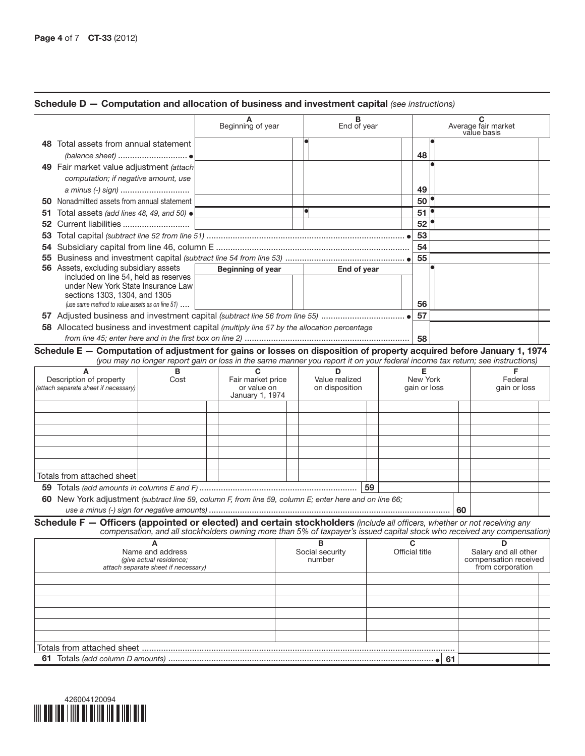|    |                                                                                                                           |                                                                                                                              | Beginning of year        | End of year         |                |                          |     |    | Average fair market<br>value basis        |  |
|----|---------------------------------------------------------------------------------------------------------------------------|------------------------------------------------------------------------------------------------------------------------------|--------------------------|---------------------|----------------|--------------------------|-----|----|-------------------------------------------|--|
|    | 48 Total assets from annual statement                                                                                     |                                                                                                                              |                          |                     |                |                          |     |    |                                           |  |
|    | (balance sheet) ●                                                                                                         |                                                                                                                              |                          |                     |                | 48                       |     |    |                                           |  |
|    | 49 Fair market value adjustment (attach                                                                                   |                                                                                                                              |                          |                     |                |                          |     |    |                                           |  |
|    | computation; if negative amount, use                                                                                      |                                                                                                                              |                          |                     |                |                          |     |    |                                           |  |
|    | a minus (-) sign)                                                                                                         |                                                                                                                              |                          |                     |                | 49                       |     |    |                                           |  |
|    | 50 Nonadmitted assets from annual statement                                                                               |                                                                                                                              |                          |                     |                | 50 <sup>°</sup>          |     |    |                                           |  |
| 51 | Total assets (add lines 48, 49, and 50) $\bullet$                                                                         |                                                                                                                              |                          |                     |                | 51                       |     |    |                                           |  |
|    |                                                                                                                           |                                                                                                                              |                          |                     |                | 52                       |     |    |                                           |  |
|    |                                                                                                                           |                                                                                                                              |                          |                     |                | 53                       |     |    |                                           |  |
|    |                                                                                                                           |                                                                                                                              |                          |                     |                | 54                       |     |    |                                           |  |
|    |                                                                                                                           |                                                                                                                              |                          |                     |                | 55                       |     |    |                                           |  |
|    | 56 Assets, excluding subsidiary assets                                                                                    |                                                                                                                              | <b>Beginning of year</b> | End of year         |                |                          |     |    |                                           |  |
|    | included on line 54, held as reserves                                                                                     |                                                                                                                              |                          |                     |                |                          |     |    |                                           |  |
|    | under New York State Insurance Law                                                                                        |                                                                                                                              |                          |                     |                |                          |     |    |                                           |  |
|    | sections 1303, 1304, and 1305                                                                                             |                                                                                                                              |                          |                     |                |                          |     |    |                                           |  |
|    | (use same method to value assets as on line $51$ )                                                                        |                                                                                                                              |                          |                     |                | 56                       |     |    |                                           |  |
|    |                                                                                                                           |                                                                                                                              |                          |                     |                | 57                       |     |    |                                           |  |
|    | 58 Allocated business and investment capital (multiply line 57 by the allocation percentage                               |                                                                                                                              |                          |                     |                |                          |     |    |                                           |  |
|    |                                                                                                                           |                                                                                                                              |                          |                     |                | 58                       |     |    |                                           |  |
|    | Schedule E - Computation of adjustment for gains or losses on disposition of property acquired before January 1, 1974     | (you may no longer report gain or loss in the same manner you report it on your federal income tax return; see instructions) |                          |                     |                |                          |     |    |                                           |  |
|    | A                                                                                                                         | R                                                                                                                            | С<br>Fair market price   | ח<br>Value realized |                | Е                        |     |    | F                                         |  |
|    | Description of property<br>(attach separate sheet if necessary)                                                           | Cost                                                                                                                         | or value on              | on disposition      |                | New York<br>gain or loss |     |    | Federal<br>gain or loss                   |  |
|    |                                                                                                                           |                                                                                                                              | January 1, 1974          |                     |                |                          |     |    |                                           |  |
|    |                                                                                                                           |                                                                                                                              |                          |                     |                |                          |     |    |                                           |  |
|    |                                                                                                                           |                                                                                                                              |                          |                     |                |                          |     |    |                                           |  |
|    |                                                                                                                           |                                                                                                                              |                          |                     |                |                          |     |    |                                           |  |
|    |                                                                                                                           |                                                                                                                              |                          |                     |                |                          |     |    |                                           |  |
|    |                                                                                                                           |                                                                                                                              |                          |                     |                |                          |     |    |                                           |  |
|    |                                                                                                                           |                                                                                                                              |                          |                     |                |                          |     |    |                                           |  |
|    |                                                                                                                           |                                                                                                                              |                          |                     |                |                          |     |    |                                           |  |
|    | Totals from attached sheet                                                                                                |                                                                                                                              |                          |                     |                |                          |     |    |                                           |  |
|    |                                                                                                                           |                                                                                                                              |                          |                     |                |                          |     |    |                                           |  |
|    | 60 New York adjustment (subtract line 59, column F, from line 59, column E; enter here and on line 66;                    |                                                                                                                              |                          |                     |                |                          |     |    |                                           |  |
|    |                                                                                                                           |                                                                                                                              |                          |                     |                |                          |     | 60 |                                           |  |
|    | Schedule F - Officers (appointed or elected) and certain stockholders (include all officers, whether or not receiving any | compensation, and all stockholders owning more than 5% of taxpayer's issued capital stock who received any compensation)     |                          |                     |                |                          |     |    |                                           |  |
|    |                                                                                                                           | А                                                                                                                            |                          | в                   |                | C                        |     |    | D                                         |  |
|    |                                                                                                                           | Name and address                                                                                                             |                          | Social security     | Official title |                          |     |    | Salary and all other                      |  |
|    |                                                                                                                           | (give actual residence;                                                                                                      |                          | number              |                |                          |     |    | compensation received<br>from corporation |  |
|    |                                                                                                                           | attach separate sheet if necessary)                                                                                          |                          |                     |                |                          |     |    |                                           |  |
|    |                                                                                                                           |                                                                                                                              |                          |                     |                |                          |     |    |                                           |  |
|    |                                                                                                                           |                                                                                                                              |                          |                     |                |                          |     |    |                                           |  |
|    |                                                                                                                           |                                                                                                                              |                          |                     |                |                          |     |    |                                           |  |
|    |                                                                                                                           |                                                                                                                              |                          |                     |                |                          |     |    |                                           |  |
|    |                                                                                                                           |                                                                                                                              |                          |                     |                |                          |     |    |                                           |  |
|    |                                                                                                                           |                                                                                                                              |                          |                     |                |                          |     |    |                                           |  |
|    |                                                                                                                           |                                                                                                                              |                          |                     |                |                          |     |    |                                           |  |
|    |                                                                                                                           |                                                                                                                              |                          |                     |                |                          | -61 |    |                                           |  |



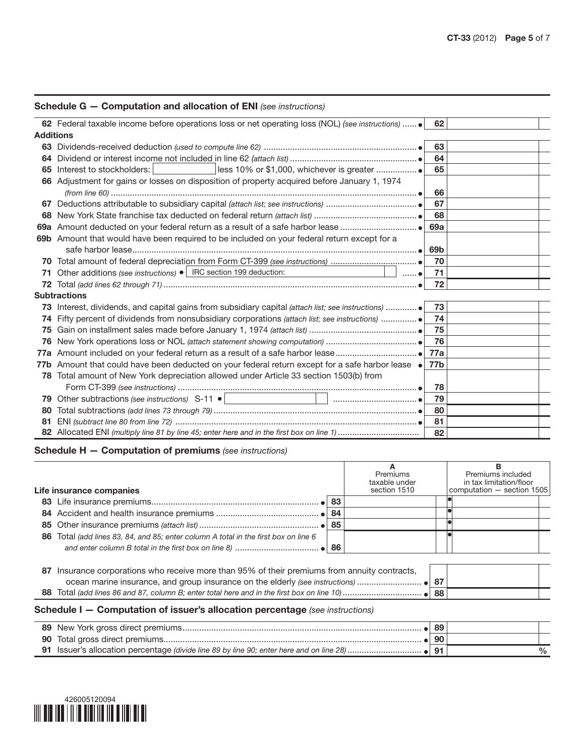|                  | <b>Schedule G – Computation and allocation of ENI</b> (see instructions)                                                                   |     |  |
|------------------|--------------------------------------------------------------------------------------------------------------------------------------------|-----|--|
|                  | 62 Federal taxable income before operations loss or net operating loss (NOL) (see instructions)                                            | 62  |  |
| <b>Additions</b> |                                                                                                                                            |     |  |
|                  |                                                                                                                                            | 63  |  |
|                  |                                                                                                                                            | 64  |  |
| 65               | Interest to stockholders: I                                                                                                                | 65  |  |
|                  | 66 Adjustment for gains or losses on disposition of property acquired before January 1, 1974                                               |     |  |
|                  |                                                                                                                                            | 66  |  |
|                  |                                                                                                                                            | 67  |  |
| 68               |                                                                                                                                            | 68  |  |
|                  |                                                                                                                                            | 69a |  |
|                  | 69b Amount that would have been required to be included on your federal return except for a                                                |     |  |
|                  |                                                                                                                                            | 69b |  |
| 70               |                                                                                                                                            | 70  |  |
| 71               | Other additions (see instructions) • IRC section 199 deduction:<br>the contract of the contract of the contract of<br>$\ldots$ . $\bullet$ | 71  |  |
| 72               |                                                                                                                                            | 72  |  |
|                  | <b>Subtractions</b>                                                                                                                        |     |  |
|                  | 73 Interest, dividends, and capital gains from subsidiary capital (attach list; see instructions)                                          | 73  |  |
|                  |                                                                                                                                            | 74  |  |
| 75               |                                                                                                                                            | 75  |  |
| 76               |                                                                                                                                            | 76  |  |
|                  |                                                                                                                                            | 77a |  |
|                  | 77b Amount that could have been deducted on your federal return except for a safe harbor lease .                                           | 77b |  |
|                  | 78 Total amount of New York depreciation allowed under Article 33 section 1503(b) from                                                     |     |  |
|                  |                                                                                                                                            | 78  |  |
| 79               |                                                                                                                                            | 79  |  |
| 80               |                                                                                                                                            | 80  |  |
| 81               |                                                                                                                                            | 81  |  |
|                  |                                                                                                                                            | 82  |  |

## Schedule H — Computation of premiums *(see instructions)*

|    | Life insurance companies                                                                                                                                                    |    | Premiums<br>taxable under<br>section 1510 |    | Premiums included<br>in tax limitation/floor<br>computation - section 1505 |
|----|-----------------------------------------------------------------------------------------------------------------------------------------------------------------------------|----|-------------------------------------------|----|----------------------------------------------------------------------------|
|    |                                                                                                                                                                             |    |                                           |    |                                                                            |
|    |                                                                                                                                                                             | 84 |                                           |    |                                                                            |
|    |                                                                                                                                                                             | 85 |                                           |    |                                                                            |
|    | 86 Total (add lines 83, 84, and 85; enter column A total in the first box on line 6                                                                                         |    |                                           |    |                                                                            |
|    |                                                                                                                                                                             |    |                                           |    |                                                                            |
| 87 | Insurance corporations who receive more than 95% of their premiums from annuity contracts,<br>ocean marine insurance, and group insurance on the elderly (see instructions) |    |                                           | 87 |                                                                            |
|    |                                                                                                                                                                             |    |                                           |    |                                                                            |
|    | Schedule I - Computation of issuer's allocation percentage (see instructions)                                                                                               |    |                                           |    |                                                                            |

|  | 89             |   |
|--|----------------|---|
|  | 90             |   |
|  | Q <sub>1</sub> | % |

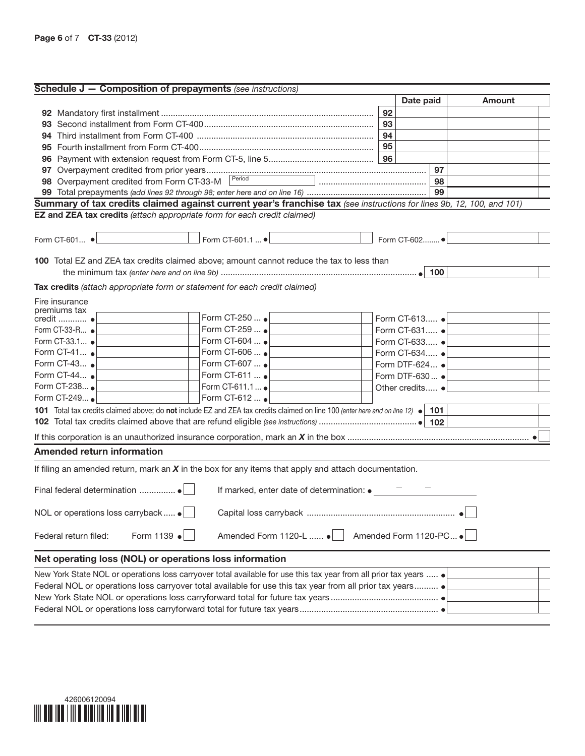| <b>Schedule J – Composition of prepayments</b> (see instructions)                                                                |    |                        |    |                                          |
|----------------------------------------------------------------------------------------------------------------------------------|----|------------------------|----|------------------------------------------|
|                                                                                                                                  |    | Date paid              |    | Amount                                   |
|                                                                                                                                  | 92 |                        |    |                                          |
|                                                                                                                                  | 93 |                        |    |                                          |
|                                                                                                                                  | 94 |                        |    |                                          |
|                                                                                                                                  | 95 |                        |    |                                          |
|                                                                                                                                  |    |                        |    |                                          |
|                                                                                                                                  |    |                        | 97 |                                          |
| 98 Overpayment credited from Form CT-33-M Period                                                                                 |    |                        |    |                                          |
|                                                                                                                                  |    |                        | 99 |                                          |
| Summary of tax credits claimed against current year's franchise tax (see instructions for lines 9b, 12, 100, and 101)            |    |                        |    |                                          |
| EZ and ZEA tax credits (attach appropriate form for each credit claimed)                                                         |    |                        |    |                                          |
|                                                                                                                                  |    |                        |    |                                          |
| Form CT-601.1  ● <u>Example 2000 and 2000</u> Form CT-602 ● Example 2000<br>Form CT-601 $\bullet$                                |    |                        |    |                                          |
|                                                                                                                                  |    |                        |    |                                          |
| <b>100</b> Total EZ and ZEA tax credits claimed above; amount cannot reduce the tax to less than                                 |    |                        |    |                                          |
|                                                                                                                                  |    |                        |    |                                          |
| Tax credits (attach appropriate form or statement for each credit claimed)                                                       |    |                        |    |                                          |
| Fire insurance                                                                                                                   |    |                        |    |                                          |
| premiums tax                                                                                                                     |    |                        |    |                                          |
| Form CT-250  •<br>credit  ·                                                                                                      |    |                        |    | Form CT-613 ● <u>  _ _ _ _ _ _ _ _ _</u> |
| Form CT-259  .<br>Form CT-33-R •                                                                                                 |    | Form CT-631 $\bullet$  |    |                                          |
| Form CT-604  .<br>Form CT-33.1 •                                                                                                 |    | Form CT-633 $\bullet$  |    |                                          |
| Form CT-41 $\bullet$<br>Form CT-606  .                                                                                           |    | Form CT-634 $\bullet$  |    |                                          |
| Form CT-43 $\bullet$<br>Form CT-607  •                                                                                           |    | Form DTF-624 $\bullet$ |    |                                          |
| Form CT-44<br>Form CT-611  .                                                                                                     |    | Form DTF-630 $\bullet$ |    |                                          |
| Form CT-238<br>Form CT-611.1  .                                                                                                  |    | Other credits •        |    |                                          |
| Form CT-249<br>Form CT-612  •                                                                                                    |    |                        |    |                                          |
| 101 Total tax credits claimed above; do not include EZ and ZEA tax credits claimed on line 100 (enter here and on line 12) • 101 |    |                        |    |                                          |
|                                                                                                                                  |    |                        |    |                                          |
|                                                                                                                                  |    |                        |    |                                          |
| <b>Amended return information</b>                                                                                                |    |                        |    |                                          |
|                                                                                                                                  |    |                        |    |                                          |
| If filing an amended return, mark an $X$ in the box for any items that apply and attach documentation.                           |    |                        |    |                                          |
|                                                                                                                                  |    |                        |    |                                          |
| If marked, enter date of determination: •                                                                                        |    |                        |    |                                          |
|                                                                                                                                  |    |                        |    |                                          |
| NOL or operations loss carryback  .                                                                                              |    |                        |    |                                          |
|                                                                                                                                  |    |                        |    |                                          |
| Form 1139 $\bullet$<br>Amended Form 1120-L  •<br>Federal return filed:                                                           |    | Amended Form 1120-PC   |    |                                          |
| Net operating loss (NOL) or operations loss information                                                                          |    |                        |    |                                          |
| New York State NOL or operations loss carryover total available for use this tax year from all prior tax years  ●                |    |                        |    |                                          |
| Federal NOL or operations loss carryover total available for use this tax year from all prior tax years                          |    |                        |    |                                          |
|                                                                                                                                  |    |                        |    |                                          |
|                                                                                                                                  |    |                        |    |                                          |

Federal NOL or operations loss carryforward total for future tax years..........................................................